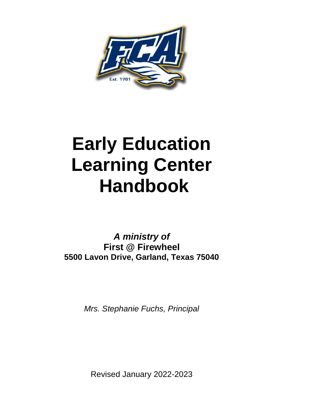

# **Early Education Learning Center Handbook**

*A ministry of* **First @ Firewheel 5500 Lavon Drive, Garland, Texas 75040**

*Mrs. Stephanie Fuchs, Principal*

Revised January 2022-2023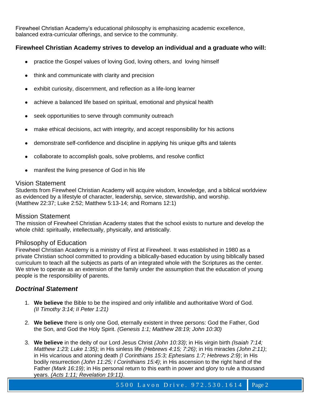Firewheel Christian Academy's educational philosophy is emphasizing academic excellence, balanced extra-curricular offerings, and service to the community.

# **Firewheel Christian Academy strives to develop an individual and a graduate who will:**

- practice the Gospel values of loving God, loving others, and loving himself
- think and communicate with clarity and precision
- exhibit curiosity, discernment, and reflection as a life-long learner
- achieve a balanced life based on spiritual, emotional and physical health
- seek opportunities to serve through community outreach
- make ethical decisions, act with integrity, and accept responsibility for his actions
- demonstrate self-confidence and discipline in applying his unique gifts and talents
- collaborate to accomplish goals, solve problems, and resolve conflict
- manifest the living presence of God in his life

# Vision Statement

Students from Firewheel Christian Academy will acquire wisdom, knowledge, and a biblical worldview as evidenced by a lifestyle of character, leadership, service, stewardship, and worship. (Matthew 22:37; Luke 2:52; Matthew 5:13-14; and Romans 12:1)

#### Mission Statement

The mission of Firewheel Christian Academy states that the school exists to nurture and develop the whole child: spiritually, intellectually, physically, and artistically.

# Philosophy of Education

Firewheel Christian Academy is a ministry of First at Firewheel. It was established in 1980 as a private Christian school committed to providing a biblically-based education by using biblically based curriculum to teach all the subjects as parts of an integrated whole with the Scriptures as the center. We strive to operate as an extension of the family under the assumption that the education of young people is the responsibility of parents.

# *Doctrinal S*t*atement*

- 1. **We believe** the Bible to be the inspired and only infallible and authoritative Word of God. *(II Timothy 3:14; II Peter 1:21)*
- 2. **We believe** there is only one God, eternally existent in three persons: God the Father, God the Son, and God the Holy Spirit. *(Genesis 1:1; Matthew 28:19; John 10:30)*
- 3. **We believe** in the deity of our Lord Jesus Christ *(John 10:33)*; in His virgin birth *(Isaiah 7:14; Matthew 1:23; Luke 1:35)*; in His sinless life *(Hebrews 4:15; 7:26)*; in His miracles *(John 2:11)*; in His vicarious and atoning death *(I Corinthians 15:3; Ephesians 1:7; Hebrews 2:9)*; in His bodily resurrection *(John 11:25; I Corinthians 15:4)*; in His ascension to the right hand of the Father *(Mark 16:19)*; in His personal return to this earth in power and glory to rule a thousand years. *(Acts 1:11; Revelation 19:11)*.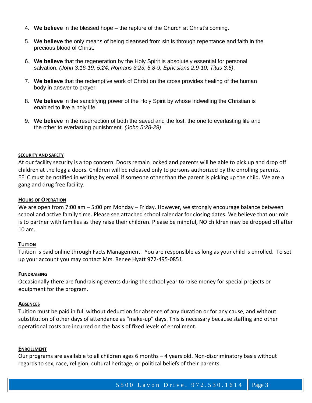- 4. **We believe** in the blessed hope the rapture of the Church at Christ's coming.
- 5. **We believe** the only means of being cleansed from sin is through repentance and faith in the precious blood of Christ.
- 6. **We believe** that the regeneration by the Holy Spirit is absolutely essential for personal salvation. *(John 3:16-19; 5:24; Romans 3:23; 5:8-9; Ephesians 2:9-10; Titus 3:5)*.
- 7. **We believe** that the redemptive work of Christ on the cross provides healing of the human body in answer to prayer.
- 8. **We believe** in the sanctifying power of the Holy Spirit by whose indwelling the Christian is enabled to live a holy life.
- 9. **We believe** in the resurrection of both the saved and the lost; the one to everlasting life and the other to everlasting punishment. *(John 5:28-29)*

#### **SECURITY AND SAFETY**

At our facility security is a top concern. Doors remain locked and parents will be able to pick up and drop off children at the loggia doors. Children will be released only to persons authorized by the enrolling parents. EELC must be notified in writing by email if someone other than the parent is picking up the child. We are a gang and drug free facility.

#### **HOURS OF OPERATION**

We are open from 7:00 am – 5:00 pm Monday – Friday. However, we strongly encourage balance between school and active family time. Please see attached school calendar for closing dates. We believe that our role is to partner with families as they raise their children. Please be mindful, NO children may be dropped off after 10 am.

#### **TUITION**

Tuition is paid online through Facts Management. You are responsible as long as your child is enrolled. To set up your account you may contact Mrs. Renee Hyatt 972-495-0851.

#### **FUNDRAISING**

Occasionally there are fundraising events during the school year to raise money for special projects or equipment for the program.

#### **ABSENCES**

Tuition must be paid in full without deduction for absence of any duration or for any cause, and without substitution of other days of attendance as "make-up" days. This is necessary because staffing and other operational costs are incurred on the basis of fixed levels of enrollment.

#### **ENROLLMENT**

Our programs are available to all children ages 6 months – 4 years old. Non-discriminatory basis without regards to sex, race, religion, cultural heritage, or political beliefs of their parents.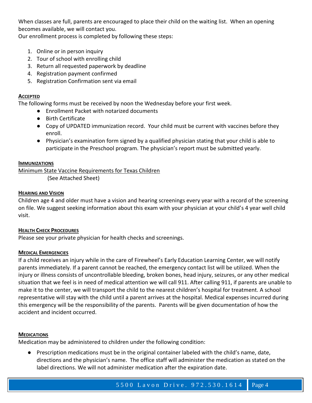When classes are full, parents are encouraged to place their child on the waiting list. When an opening becomes available, we will contact you.

Our enrollment process is completed by following these steps:

- 1. Online or in person inquiry
- 2. Tour of school with enrolling child
- 3. Return all requested paperwork by deadline
- 4. Registration payment confirmed
- 5. Registration Confirmation sent via email

# **ACCEPTED**

The following forms must be received by noon the Wednesday before your first week.

- Enrollment Packet with notarized documents
- Birth Certificate
- Copy of UPDATED immunization record. Your child must be current with vaccines before they enroll.
- Physician's examination form signed by a qualified physician stating that your child is able to participate in the Preschool program. The physician's report must be submitted yearly.

## **IMMUNIZATIONS**

Minimum State Vaccine Requirements for Texas Children (See Attached Sheet)

## **HEARING AND VISION**

Children age 4 and older must have a vision and hearing screenings every year with a record of the screening on file. We suggest seeking information about this exam with your physician at your child's 4 year well child visit.

# **HEALTH CHECK PROCEDURES**

Please see your private physician for health checks and screenings.

# **MEDICAL EMERGENCIES**

If a child receives an injury while in the care of Firewheel's Early Education Learning Center, we will notify parents immediately. If a parent cannot be reached, the emergency contact list will be utilized. When the injury or illness consists of uncontrollable bleeding, broken bones, head injury, seizures, or any other medical situation that we feel is in need of medical attention we will call 911. After calling 911, if parents are unable to make it to the center, we will transport the child to the nearest children's hospital for treatment. A school representative will stay with the child until a parent arrives at the hospital. Medical expenses incurred during this emergency will be the responsibility of the parents. Parents will be given documentation of how the accident and incident occurred.

#### **MEDICATIONS**

Medication may be administered to children under the following condition:

● Prescription medications must be in the original container labeled with the child's name, date, directions and the physician's name. The office staff will administer the medication as stated on the label directions. We will not administer medication after the expiration date.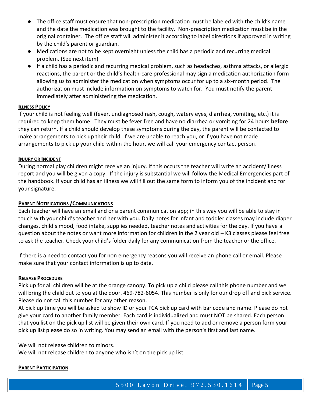- The office staff must ensure that non-prescription medication must be labeled with the child's name and the date the medication was brought to the facility. Non-prescription medication must be in the original container. The office staff will administer it according to label directions if approved in writing by the child's parent or guardian.
- Medications are not to be kept overnight unless the child has a periodic and recurring medical problem. (See next item)
- If a child has a periodic and recurring medical problem, such as headaches, asthma attacks, or allergic reactions, the parent or the child's health-care professional may sign a medication authorization form allowing us to administer the medication when symptoms occur for up to a six-month period. The authorization must include information on symptoms to watch for. You must notify the parent immediately after administering the medication.

#### **ILLNESS POLICY**

If your child is not feeling well (fever, undiagnosed rash, cough, watery eyes, diarrhea, vomiting, etc.) it is required to keep them home. They must be fever free and have no diarrhea or vomiting for 24 hours **before**  they can return. If a child should develop these symptoms during the day, the parent will be contacted to make arrangements to pick up their child. If we are unable to reach you, or if you have not made arrangements to pick up your child within the hour, we will call your emergency contact person.

## **INJURY OR INCIDENT**

During normal play children might receive an injury. If this occurs the teacher will write an accident/illness report and you will be given a copy. If the injury is substantial we will follow the Medical Emergencies part of the handbook. If your child has an illness we will fill out the same form to inform you of the incident and for your signature.

# **PARENT NOTIFICATIONS /COMMUNICATIONS**

Each teacher will have an email and or a parent communication app; in this way you will be able to stay in touch with your child's teacher and her with you. Daily notes for infant and toddler classes may include diaper changes, child's mood, food intake, supplies needed, teacher notes and activities for the day. If you have a question about the notes or want more information for children in the 2 year old – K3 classes please feel free to ask the teacher. Check your child's folder daily for any communication from the teacher or the office.

If there is a need to contact you for non emergency reasons you will receive an phone call or email. Please make sure that your contact information is up to date.

#### **RELEASE PROCEDURE**

Pick up for all children will be at the orange canopy. To pick up a child please call this phone number and we will bring the child out to you at the door. 469-782-6054. This number is only for our drop off and pick service. Please do not call this number for any other reason.

At pick up time you will be asked to show ID or your FCA pick up card with bar code and name. Please do not give your card to another family member. Each card is individualized and must NOT be shared. Each person that you list on the pick up list will be given their own card. If you need to add or remove a person form your pick up list please do so in writing. You may send an email with the person's first and last name.

We will not release children to minors.

We will not release children to anyone who isn't on the pick up list.

#### **PARENT PARTICIPATION**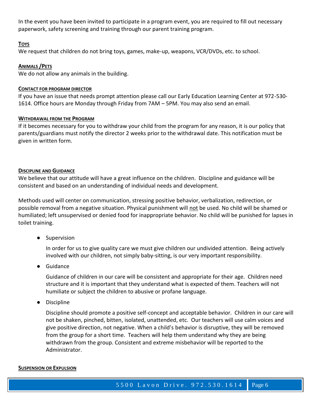In the event you have been invited to participate in a program event, you are required to fill out necessary paperwork, safety screening and training through our parent training program.

#### **TOYS**

We request that children do not bring toys, games, make-up, weapons, VCR/DVDs, etc. to school.

#### **ANIMALS /PETS**

We do not allow any animals in the building.

#### **CONTACT FOR PROGRAM DIRECTOR**

If you have an issue that needs prompt attention please call our Early Education Learning Center at 972-530- 1614. Office hours are Monday through Friday from 7AM – 5PM. You may also send an email.

#### **WITHDRAWAL FROM THE PROGRAM**

If it becomes necessary for you to withdraw your child from the program for any reason, it is our policy that parents/guardians must notify the director 2 weeks prior to the withdrawal date. This notification must be given in written form.

#### **DISCIPLINE AND GUIDANCE**

We believe that our attitude will have a great influence on the children. Discipline and guidance will be consistent and based on an understanding of individual needs and development.

Methods used will center on communication, stressing positive behavior, verbalization, redirection, or possible removal from a negative situation. Physical punishment will not be used. No child will be shamed or humiliated; left unsupervised or denied food for inappropriate behavior. No child will be punished for lapses in toilet training.

● Supervision

In order for us to give quality care we must give children our undivided attention. Being actively involved with our children, not simply baby-sitting, is our very important responsibility.

● Guidance

Guidance of children in our care will be consistent and appropriate for their age. Children need structure and it is important that they understand what is expected of them. Teachers will not humiliate or subject the children to abusive or profane language.

● Discipline

Discipline should promote a positive self-concept and acceptable behavior. Children in our care will not be shaken, pinched, bitten, isolated, unattended, etc. Our teachers will use calm voices and give positive direction, not negative. When a child's behavior is disruptive, they will be removed from the group for a short time. Teachers will help them understand why they are being withdrawn from the group. Consistent and extreme misbehavior will be reported to the Administrator.

#### **SUSPENSION OR EXPULSION**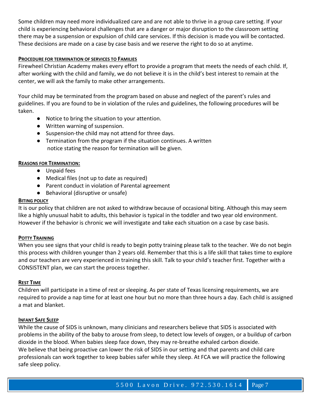Some children may need more individualized care and are not able to thrive in a group care setting. If your child is experiencing behavioral challenges that are a danger or major disruption to the classroom setting there may be a suspension or expulsion of child care services. If this decision is made you will be contacted. These decisions are made on a case by case basis and we reserve the right to do so at anytime.

## **PROCEDURE FOR TERMINATION OF SERVICES TO FAMILIES**

Firewheel Christian Academy makes every effort to provide a program that meets the needs of each child. If, after working with the child and family, we do not believe it is in the child's best interest to remain at the center, we will ask the family to make other arrangements.

Your child may be terminated from the program based on abuse and neglect of the parent's rules and guidelines. If you are found to be in violation of the rules and guidelines, the following procedures will be taken.

- Notice to bring the situation to your attention.
- Written warning of suspension.
- Suspension-the child may not attend for three days.
- Termination from the program if the situation continues. A written notice stating the reason for termination will be given.

## **REASONS FOR TERMINATION:**

- Unpaid fees
- Medical files (not up to date as required)
- Parent conduct in violation of Parental agreement
- Behavioral (disruptive or unsafe)

# **BITING POLICY**

It is our policy that children are not asked to withdraw because of occasional biting. Although this may seem like a highly unusual habit to adults, this behavior is typical in the toddler and two year old environment. However if the behavior is chronic we will investigate and take each situation on a case by case basis.

#### **POTTY TRAINING**

When you see signs that your child is ready to begin potty training please talk to the teacher. We do not begin this process with children younger than 2 years old. Remember that this is a life skill that takes time to explore and our teachers are very experienced in training this skill. Talk to your child's teacher first. Together with a CONSISTENT plan, we can start the process together.

#### **REST TIME**

Children will participate in a time of rest or sleeping. As per state of Texas licensing requirements, we are required to provide a nap time for at least one hour but no more than three hours a day. Each child is assigned a mat and blanket.

#### **INFANT SAFE SLEEP**

While the cause of SIDS is unknown, many clinicians and researchers believe that SIDS is associated with problems in the ability of the baby to arouse from sleep, to detect low levels of oxygen, or a buildup of carbon dioxide in the blood. When babies sleep face down, they may re-breathe exhaled carbon dioxide. We believe that being proactive can lower the risk of SIDS in our setting and that parents and child care professionals can work together to keep babies safer while they sleep. At FCA we will practice the following safe sleep policy.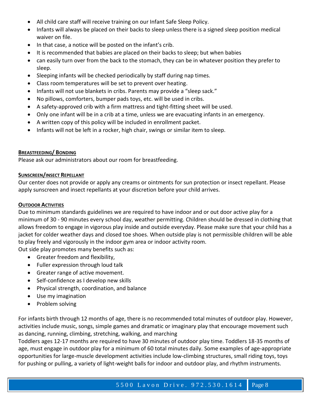- All child care staff will receive training on our Infant Safe Sleep Policy.
- Infants will always be placed on their backs to sleep unless there is a signed sleep position medical waiver on file.
- In that case, a notice will be posted on the infant's crib.
- It is recommended that babies are placed on their backs to sleep; but when babies
- can easily turn over from the back to the stomach, they can be in whatever position they prefer to sleep.
- Sleeping infants will be checked periodically by staff during nap times.
- Class room temperatures will be set to prevent over heating.
- Infants will not use blankets in cribs. Parents may provide a "sleep sack."
- No pillows, comforters, bumper pads toys, etc. will be used in cribs.
- A safety-approved crib with a firm mattress and tight-fitting sheet will be used.
- Only one infant will be in a crib at a time, unless we are evacuating infants in an emergency.
- A written copy of this policy will be included in enrollment packet.
- Infants will not be left in a rocker, high chair, swings or similar item to sleep.

## **BREASTFEEDING/ BONDING**

Please ask our administrators about our room for breastfeeding.

## **SUNSCREEN/INSECT REPELLANT**

Our center does not provide or apply any creams or ointments for sun protection or insect repellant. Please apply sunscreen and insect repellants at your discretion before your child arrives.

#### **OUTDOOR ACTIVITIES**

Due to minimum standards guidelines we are required to have indoor and or out door active play for a minimum of 30 - 90 minutes every school day, weather permitting. Children should be dressed in clothing that allows freedom to engage in vigorous play inside and outside everyday. Please make sure that your child has a jacket for colder weather days and closed toe shoes. When outside play is not permissible children will be able to play freely and vigorously in the indoor gym area or indoor activity room.

Out side play promotes many benefits such as:

- Greater freedom and flexibility,
- Fuller expression through loud talk
- Greater range of active movement.
- Self-confidence as I develop new skills
- Physical strength, coordination, and balance
- Use my imagination
- Problem solving

For infants birth through 12 months of age, there is no recommended total minutes of outdoor play. However, activities include music, songs, simple games and dramatic or imaginary play that encourage movement such as dancing, running, climbing, stretching, walking, and marching

Toddlers ages 12-17 months are required to have 30 minutes of outdoor play time. Toddlers 18-35 months of age, must engage in outdoor play for a minimum of 60 total minutes daily. Some examples of age-appropriate opportunities for large-muscle development activities include low-climbing structures, small riding toys, toys for pushing or pulling, a variety of light-weight balls for indoor and outdoor play, and rhythm instruments.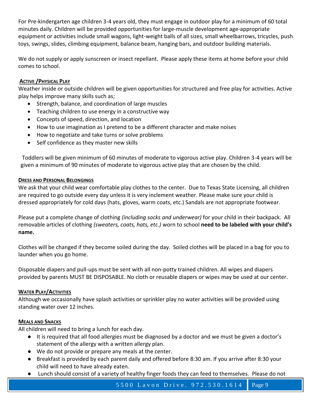For Pre-kindergarten age children 3-4 years old, they must engage in outdoor play for a minimum of 60 total minutes daily. Children will be provided opportunities for large-muscle development age-appropriate equipment or activities include small wagons, light-weight balls of all sizes, small wheelbarrows, tricycles, push toys, swings, slides, climbing equipment, balance beam, hanging bars, and outdoor building materials.

We do not supply or apply sunscreen or insect repellant. Please apply these items at home before your child comes to school.

# **ACTIVE /PHYSICAL PLAY**

Weather inside or outside children will be given opportunities for structured and free play for activities. Active play helps improve many skills such as;

- Strength, balance, and coordination of large muscles
- Teaching children to use energy in a constructive way
- Concepts of speed, direction, and location
- How to use imagination as I pretend to be a different character and make noises
- How to negotiate and take turns or solve problems
- Self confidence as they master new skills

Toddlers will be given minimum of 60 minutes of moderate to vigorous active play. Children 3-4 years will be given a minimum of 90 minutes of moderate to vigorous active play that are chosen by the child.

## **DRESS AND PERSONAL BELONGINGS**

We ask that your child wear comfortable play clothes to the center. Due to Texas State Licensing, all children are required to go outside every day unless it is very inclement weather. Please make sure your child is dressed appropriately for cold days (hats, gloves, warm coats, etc.) Sandals are not appropriate footwear.

Please put a complete change of clothing *(including socks and underwear)* for your child in their backpack. All removable articles of clothing *(sweaters, coats, hats, etc.)* worn to school **need to be labeled with your child's name.**

Clothes will be changed if they become soiled during the day. Soiled clothes will be placed in a bag for you to launder when you go home.

Disposable diapers and pull-ups must be sent with all non-potty trained children. All wipes and diapers provided by parents MUST BE DISPOSABLE. No cloth or reusable diapers or wipes may be used at our center.

# **WATER PLAY/ACTIVITIES**

Although we occasionally have splash activities or sprinkler play no water activities will be provided using standing water over 12 inches.

#### **MEALS AND SNACKS**

All children will need to bring a lunch for each day.

- It is required that all food allergies must be diagnosed by a doctor and we must be given a doctor's statement of the allergy with a written allergy plan.
- We do not provide or prepare any meals at the center.
- Breakfast is provided by each parent daily and offered before 8:30 am. If you arrive after 8:30 your child will need to have already eaten.
- Lunch should consist of a variety of healthy finger foods they can feed to themselves. Please do not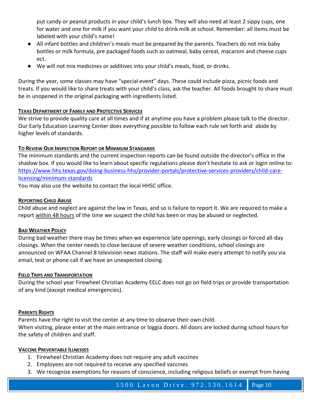put candy or peanut products in your child's lunch box. They will also need at least 2 sippy cups, one for water and one for milk if you want your child to drink milk at school. Remember: all items must be labeled with your child's name!

- All infant bottles and children's meals must be prepared by the parents. Teachers do not mix baby bottles or milk formula, pre packaged foods such as oatmeal, baby cereal, macaroni and cheese cups ect.
- We will not mix medicines or additives into your child's meals, food, or drinks.

During the year, some classes may have "special event" days. These could include pizza, picnic foods and treats. If you would like to share treats with your child's class, ask the teacher. All foods brought to share must be in unopened in the original packaging with ingredients listed.

# **TEXAS DEPARTMENT OF FAMILY AND PROTECTIVE SERVICES**

We strive to provide quality care at all times and if at anytime you have a problem please talk to the director. Our Early Education Learning Center does everything possible to follow each rule set forth and abide by higher levels of standards.

# **TO REVIEW OUR INSPECTION REPORT OR MINIMUM STANDARDS**

The minimum standards and the current inspection reports can be found outside the director's office in the shadow box. If you would like to learn about specific regulations please don't hesitate to ask or login online to: [https://www.hhs.texas.gov/doing-business-hhs/provider-portals/protective-services-providers/child-care](https://www.hhs.texas.gov/doing-business-hhs/provider-portals/protective-services-providers/child-care-licensing/minimum-standards)[licensing/minimum-standards](https://www.hhs.texas.gov/doing-business-hhs/provider-portals/protective-services-providers/child-care-licensing/minimum-standards)

You may also use the website to contact the local HHSC office.

# **REPORTING CHILD ABUSE**

Child abuse and neglect are against the law in Texas, and so is failure to report it. We are required to make a report within 48 hours of the time we suspect the child has been or may be abused or neglected.

# **BAD WEATHER POLICY**

During bad weather there may be times when we experience late openings, early closings or forced all-day closings. When the center needs to close because of severe weather conditions, school closings are announced on WFAA Channel 8 television news stations. The staff will make every attempt to notify you via email, text or phone call if we have an unexpected closing.

# **FIELD TRIPS AND TRANSPORTATION**

During the school year Firewheel Christian Academy EELC does not go on field trips or provide transportation of any kind (except medical emergencies).

# **PARENTS RIGHTS**

Parents have the right to visit the center at any time to observe their own child. When visiting, please enter at the main entrance or loggia doors. All doors are locked during school hours for the safety of children and staff.

#### **VACCINE PREVENTABLE ILLNESSES**

- 1. Firewheel Christian Academy does not require any adult vaccines
- 2. Employees are not required to receive any specified vaccines
- 3. We recognize exemptions for reasons of conscience, including religious beliefs or exempt from having